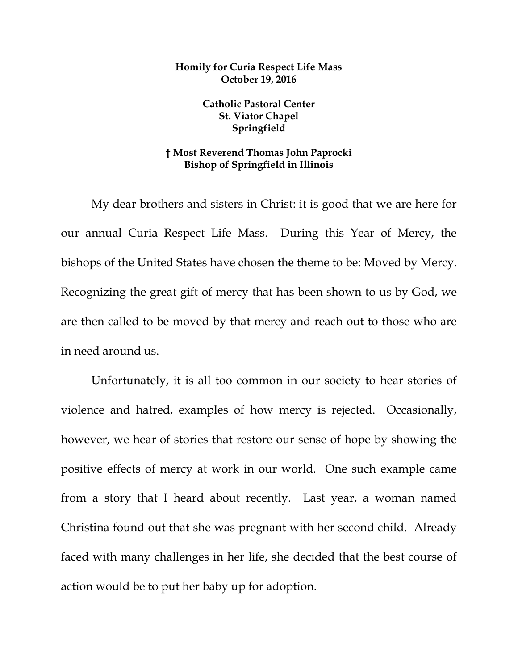## **Homily for Curia Respect Life Mass October 19, 2016**

**Catholic Pastoral Center St. Viator Chapel Springfield**

## **† Most Reverend Thomas John Paprocki Bishop of Springfield in Illinois**

My dear brothers and sisters in Christ: it is good that we are here for our annual Curia Respect Life Mass. During this Year of Mercy, the bishops of the United States have chosen the theme to be: Moved by Mercy. Recognizing the great gift of mercy that has been shown to us by God, we are then called to be moved by that mercy and reach out to those who are in need around us.

Unfortunately, it is all too common in our society to hear stories of violence and hatred, examples of how mercy is rejected. Occasionally, however, we hear of stories that restore our sense of hope by showing the positive effects of mercy at work in our world. One such example came from a story that I heard about recently. Last year, a woman named Christina found out that she was pregnant with her second child. Already faced with many challenges in her life, she decided that the best course of action would be to put her baby up for adoption.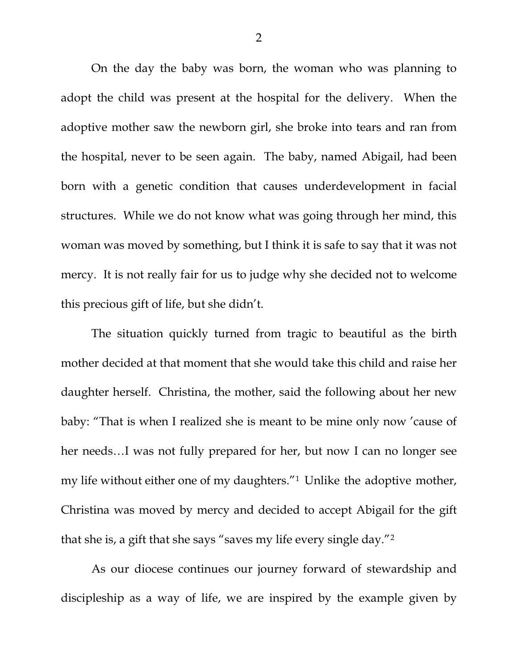On the day the baby was born, the woman who was planning to adopt the child was present at the hospital for the delivery. When the adoptive mother saw the newborn girl, she broke into tears and ran from the hospital, never to be seen again. The baby, named Abigail, had been born with a genetic condition that causes underdevelopment in facial structures. While we do not know what was going through her mind, this woman was moved by something, but I think it is safe to say that it was not mercy. It is not really fair for us to judge why she decided not to welcome this precious gift of life, but she didn't.

The situation quickly turned from tragic to beautiful as the birth mother decided at that moment that she would take this child and raise her daughter herself. Christina, the mother, said the following about her new baby: "That is when I realized she is meant to be mine only now 'cause of her needs…I was not fully prepared for her, but now I can no longer see my life without either one of my daughters."[1](#page-6-0) Unlike the adoptive mother, Christina was moved by mercy and decided to accept Abigail for the gift that she is, a gift that she says "saves my life every single day."[2](#page-6-1)

As our diocese continues our journey forward of stewardship and discipleship as a way of life, we are inspired by the example given by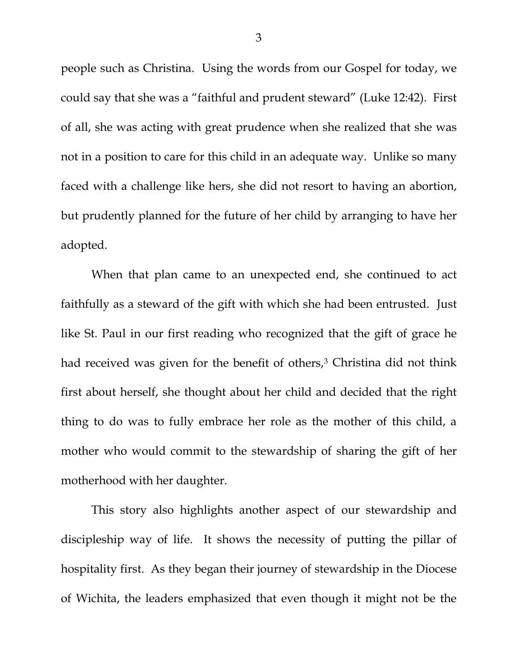people such as Christina. Using the words from our Gospel for today, we could say that she was a "faithful and prudent steward" (Luke 12:42). First of all, she was acting with great prudence when she realized that she was not in a position to care for this child in an adequate way. Unlike so many faced with a challenge like hers, she did not resort to having an abortion, but prudently planned for the future of her child by arranging to have her adopted.

When that plan came to an unexpected end, she continued to act faithfully as a steward of the gift with which she had been entrusted. Just like St. Paul in our first reading who recognized that the gift of grace he had received was given for the benefit of others,<sup>[3](#page-6-2)</sup> Christina did not think first about herself, she thought about her child and decided that the right thing to do was to fully embrace her role as the mother of this child, a mother who would commit to the stewardship of sharing the gift of her motherhood with her daughter.

This story also highlights another aspect of our stewardship and discipleship way of life. It shows the necessity of putting the pillar of hospitality first. As they began their journey of stewardship in the Diocese of Wichita, the leaders emphasized that even though it might not be the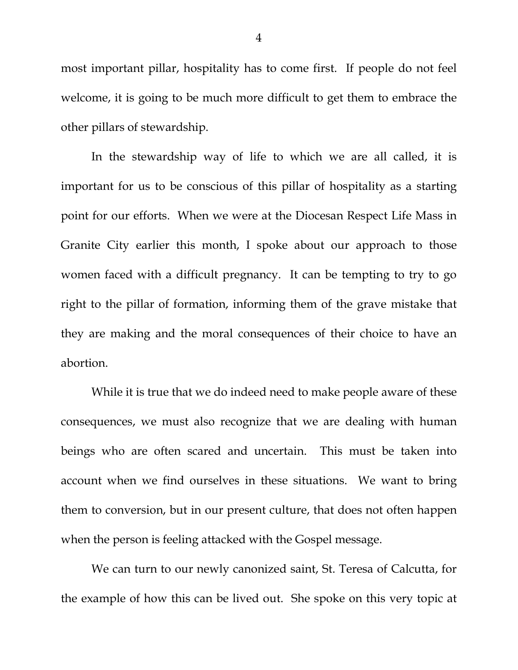most important pillar, hospitality has to come first. If people do not feel welcome, it is going to be much more difficult to get them to embrace the other pillars of stewardship.

In the stewardship way of life to which we are all called, it is important for us to be conscious of this pillar of hospitality as a starting point for our efforts. When we were at the Diocesan Respect Life Mass in Granite City earlier this month, I spoke about our approach to those women faced with a difficult pregnancy. It can be tempting to try to go right to the pillar of formation, informing them of the grave mistake that they are making and the moral consequences of their choice to have an abortion.

While it is true that we do indeed need to make people aware of these consequences, we must also recognize that we are dealing with human beings who are often scared and uncertain. This must be taken into account when we find ourselves in these situations. We want to bring them to conversion, but in our present culture, that does not often happen when the person is feeling attacked with the Gospel message.

We can turn to our newly canonized saint, St. Teresa of Calcutta, for the example of how this can be lived out. She spoke on this very topic at

4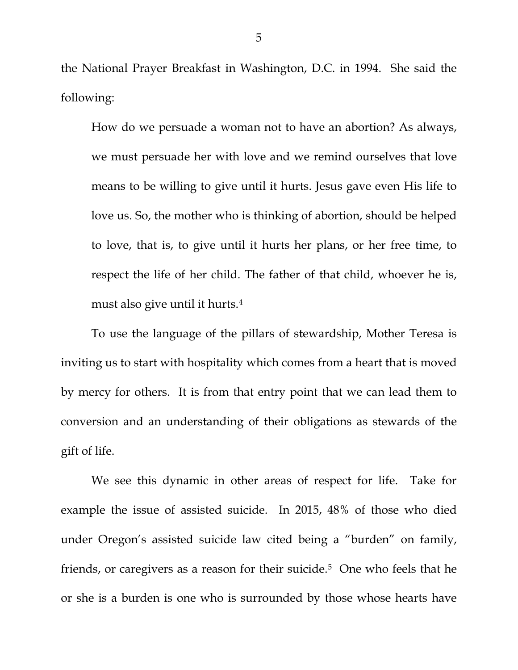the National Prayer Breakfast in Washington, D.C. in 1994. She said the following:

How do we persuade a woman not to have an abortion? As always, we must persuade her with love and we remind ourselves that love means to be willing to give until it hurts. Jesus gave even His life to love us. So, the mother who is thinking of abortion, should be helped to love, that is, to give until it hurts her plans, or her free time, to respect the life of her child. The father of that child, whoever he is, must also give until it hurts.[4](#page-6-3)

To use the language of the pillars of stewardship, Mother Teresa is inviting us to start with hospitality which comes from a heart that is moved by mercy for others. It is from that entry point that we can lead them to conversion and an understanding of their obligations as stewards of the gift of life.

We see this dynamic in other areas of respect for life. Take for example the issue of assisted suicide. In 2015, 48% of those who died under Oregon's assisted suicide law cited being a "burden" on family, friends, or caregivers as a reason for their suicide.<sup>[5](#page-6-4)</sup> One who feels that he or she is a burden is one who is surrounded by those whose hearts have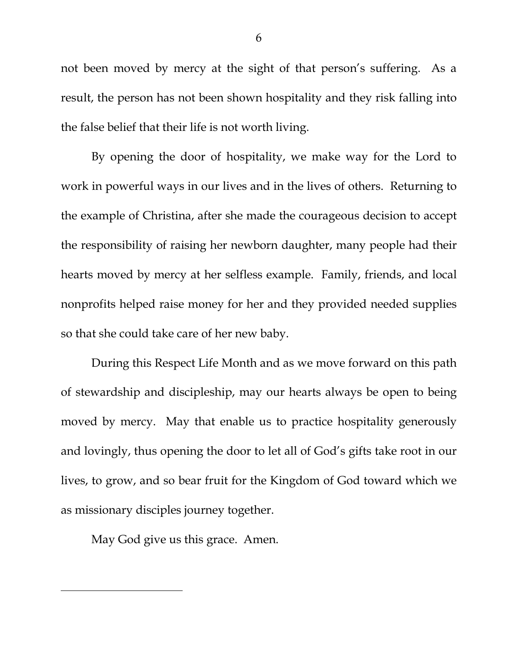not been moved by mercy at the sight of that person's suffering. As a result, the person has not been shown hospitality and they risk falling into the false belief that their life is not worth living.

By opening the door of hospitality, we make way for the Lord to work in powerful ways in our lives and in the lives of others. Returning to the example of Christina, after she made the courageous decision to accept the responsibility of raising her newborn daughter, many people had their hearts moved by mercy at her selfless example. Family, friends, and local nonprofits helped raise money for her and they provided needed supplies so that she could take care of her new baby.

During this Respect Life Month and as we move forward on this path of stewardship and discipleship, may our hearts always be open to being moved by mercy. May that enable us to practice hospitality generously and lovingly, thus opening the door to let all of God's gifts take root in our lives, to grow, and so bear fruit for the Kingdom of God toward which we as missionary disciples journey together.

May God give us this grace. Amen.

 $\overline{\phantom{a}}$